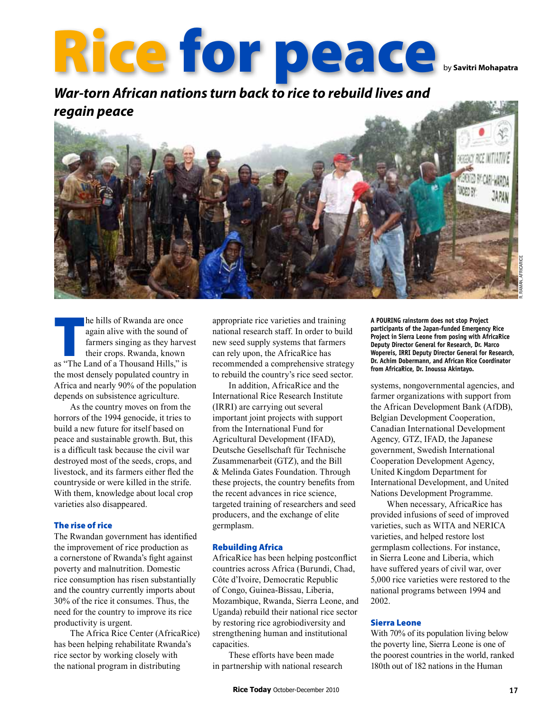# Rice for peace

*War-torn African nations turn back to rice to rebuild lives and regain peace*



by **Savitri Mohapatra**

he hills of Rwanda are once<br>
again alive with the sound of<br>
farmers singing as they harve<br>
their crops. Rwanda, known<br>
as "The Land of a Thousand Hills," is again alive with the sound of farmers singing as they harvest their crops. Rwanda, known the most densely populated country in Africa and nearly 90% of the population depends on subsistence agriculture.

As the country moves on from the horrors of the 1994 genocide, it tries to build a new future for itself based on peace and sustainable growth. But, this is a difficult task because the civil war destroyed most of the seeds, crops, and livestock, and its farmers either fled the countryside or were killed in the strife. With them, knowledge about local crop varieties also disappeared.

## The rise of rice

The Rwandan government has identified the improvement of rice production as a cornerstone of Rwanda's fight against poverty and malnutrition. Domestic rice consumption has risen substantially and the country currently imports about 30% of the rice it consumes. Thus, the need for the country to improve its rice productivity is urgent.

The Africa Rice Center (AfricaRice) has been helping rehabilitate Rwanda's rice sector by working closely with the national program in distributing

appropriate rice varieties and training national research staff. In order to build new seed supply systems that farmers can rely upon, the AfricaRice has recommended a comprehensive strategy to rebuild the country's rice seed sector.

In addition, AfricaRice and the International Rice Research Institute (IRRI) are carrying out several important joint projects with support from the International Fund for Agricultural Development (IFAD), Deutsche Gesellschaft für Technische Zusammenarbeit (GTZ), and the Bill & Melinda Gates Foundation. Through these projects, the country benefits from the recent advances in rice science, targeted training of researchers and seed producers, and the exchange of elite germplasm.

# Rebuilding Africa

AfricaRice has been helping postconflict countries across Africa (Burundi, Chad, Côte d'Ivoire, Democratic Republic of Congo, Guinea-Bissau, Liberia, Mozambique, Rwanda, Sierra Leone, and Uganda) rebuild their national rice sector by restoring rice agrobiodiversity and strengthening human and institutional capacities.

These efforts have been made in partnership with national research **a pouring rainstorm does not stop Project participants of the Japan-funded Emergency Rice Project in Sierra Leone from posing with AfricaRice Deputy Director General for Research, Dr. Marco Wopereis, IRRI Deputy Director General for Research, Dr. Achim Dobermann, and African Rice Coordinator from AfricaRice, Dr. Inoussa Akintayo.** 

systems, nongovernmental agencies, and farmer organizations with support from the African Development Bank (AfDB), Belgian Development Cooperation, Canadian International Development Agency*,* GTZ, IFAD, the Japanese government, Swedish International Cooperation Development Agency, United Kingdom Department for International Development, and United Nations Development Programme.

When necessary, AfricaRice has provided infusions of seed of improved varieties, such as WITA and NERICA varieties, and helped restore lost germplasm collections. For instance, in Sierra Leone and Liberia, which have suffered years of civil war, over 5,000 rice varieties were restored to the national programs between 1994 and 2002.

# Sierra Leone

With 70% of its population living below the poverty line, Sierra Leone is one of the poorest countries in the world, ranked 180th out of 182 nations in the Human